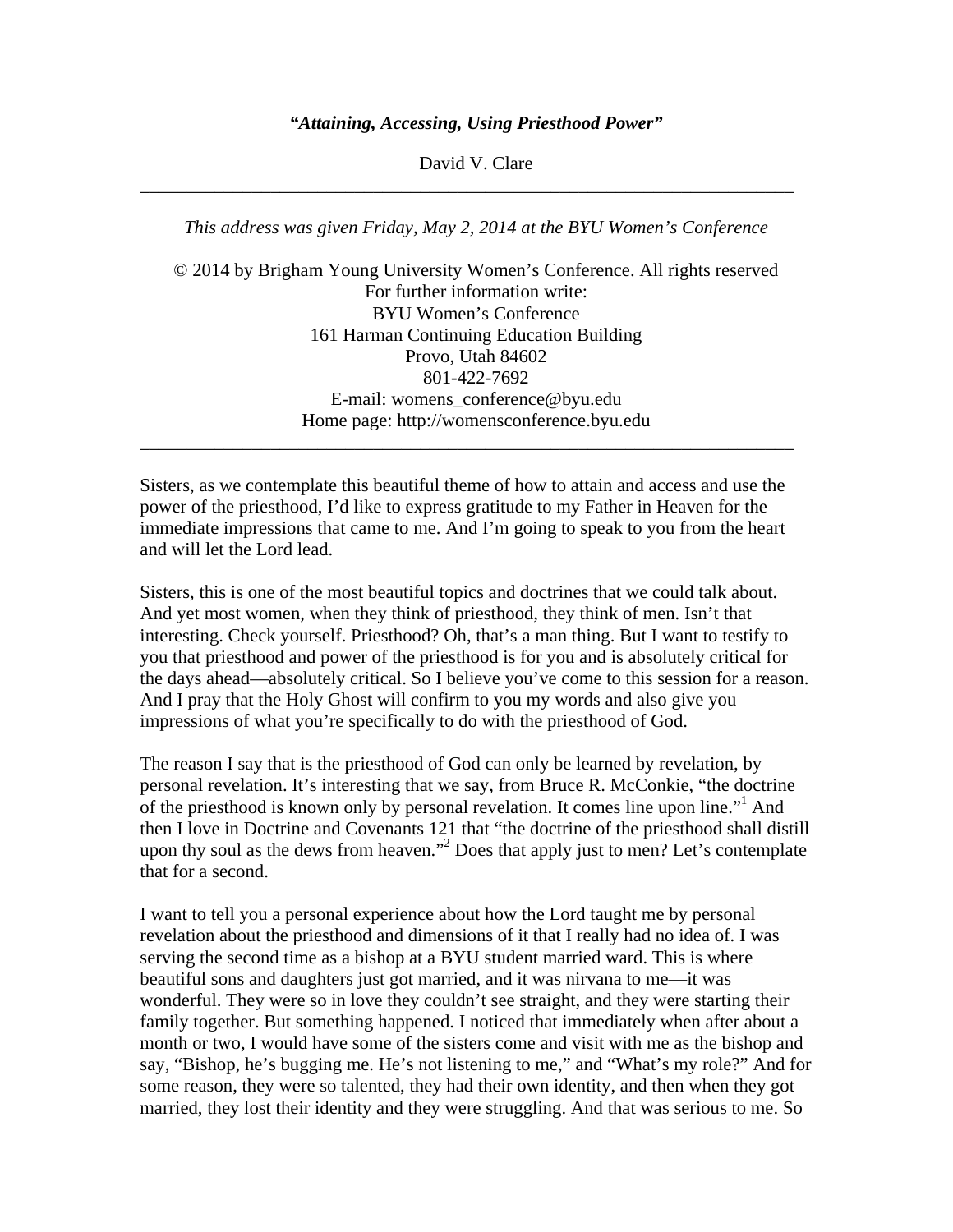## *"Attaining, Accessing, Using Priesthood Power"*

David V. Clare \_\_\_\_\_\_\_\_\_\_\_\_\_\_\_\_\_\_\_\_\_\_\_\_\_\_\_\_\_\_\_\_\_\_\_\_\_\_\_\_\_\_\_\_\_\_\_\_\_\_\_\_\_\_\_\_\_\_\_\_\_\_\_\_\_\_\_\_\_\_

*This address was given Friday, May 2, 2014 at the BYU Women's Conference* 

© 2014 by Brigham Young University Women's Conference. All rights reserved For further information write: BYU Women's Conference 161 Harman Continuing Education Building Provo, Utah 84602 801-422-7692 E-mail: womens\_conference@byu.edu Home page: http://womensconference.byu.edu \_\_\_\_\_\_\_\_\_\_\_\_\_\_\_\_\_\_\_\_\_\_\_\_\_\_\_\_\_\_\_\_\_\_\_\_\_\_\_\_\_\_\_\_\_\_\_\_\_\_\_\_\_\_\_\_\_\_\_\_\_\_\_\_\_\_\_\_\_\_

Sisters, as we contemplate this beautiful theme of how to attain and access and use the power of the priesthood, I'd like to express gratitude to my Father in Heaven for the immediate impressions that came to me. And I'm going to speak to you from the heart and will let the Lord lead.

Sisters, this is one of the most beautiful topics and doctrines that we could talk about. And yet most women, when they think of priesthood, they think of men. Isn't that interesting. Check yourself. Priesthood? Oh, that's a man thing. But I want to testify to you that priesthood and power of the priesthood is for you and is absolutely critical for the days ahead—absolutely critical. So I believe you've come to this session for a reason. And I pray that the Holy Ghost will confirm to you my words and also give you impressions of what you're specifically to do with the priesthood of God.

The reason I say that is the priesthood of God can only be learned by revelation, by personal revelation. It's interesting that we say, from Bruce R. McConkie, "the doctrine of the priesthood is known only by personal revelation. It comes line upon line."<sup>1</sup> And then I love in Doctrine and Covenants 121 that "the doctrine of the priesthood shall distill upon thy soul as the dews from heaven."<sup>2</sup> Does that apply just to men? Let's contemplate that for a second.

I want to tell you a personal experience about how the Lord taught me by personal revelation about the priesthood and dimensions of it that I really had no idea of. I was serving the second time as a bishop at a BYU student married ward. This is where beautiful sons and daughters just got married, and it was nirvana to me—it was wonderful. They were so in love they couldn't see straight, and they were starting their family together. But something happened. I noticed that immediately when after about a month or two, I would have some of the sisters come and visit with me as the bishop and say, "Bishop, he's bugging me. He's not listening to me," and "What's my role?" And for some reason, they were so talented, they had their own identity, and then when they got married, they lost their identity and they were struggling. And that was serious to me. So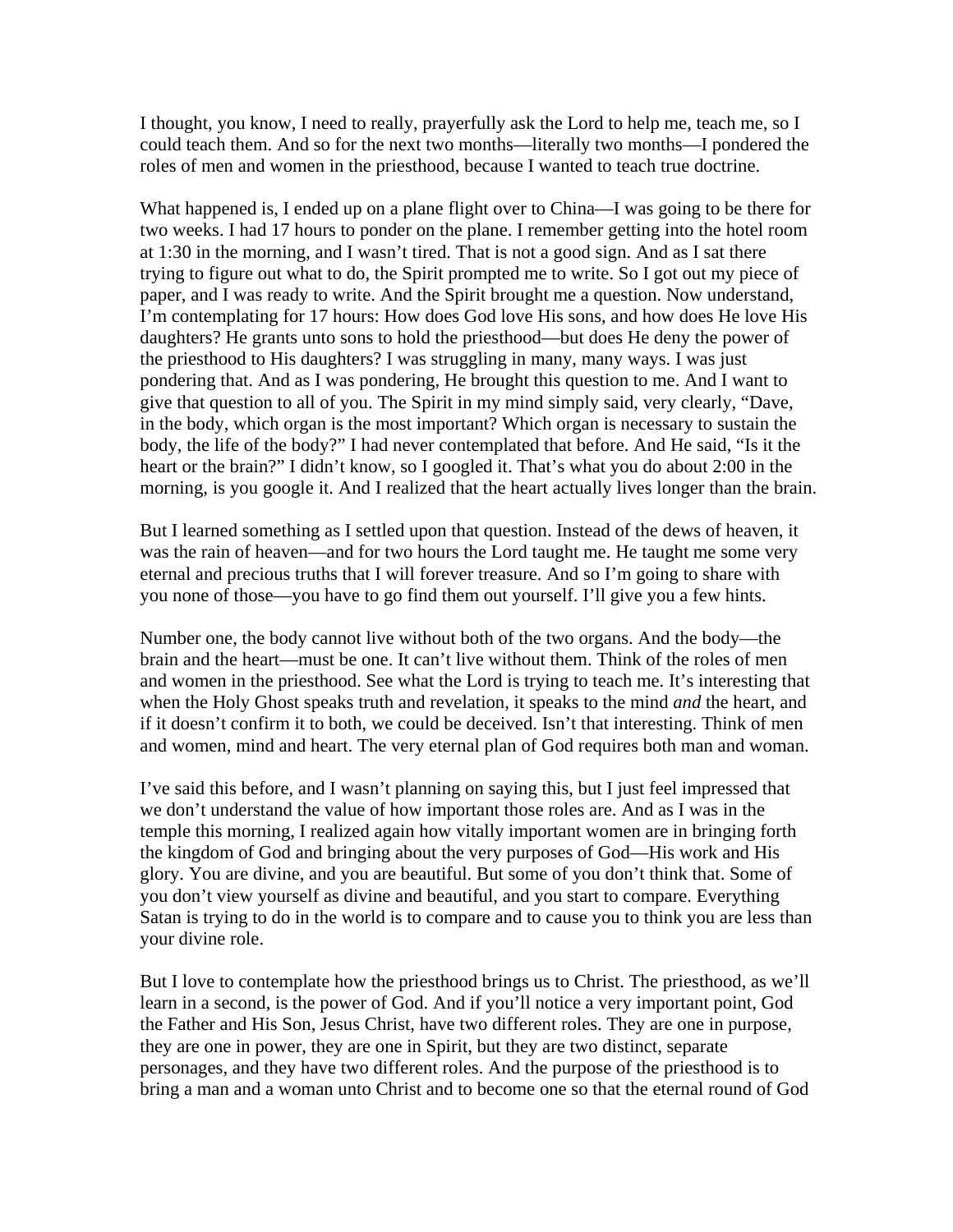I thought, you know, I need to really, prayerfully ask the Lord to help me, teach me, so I could teach them. And so for the next two months—literally two months—I pondered the roles of men and women in the priesthood, because I wanted to teach true doctrine.

What happened is, I ended up on a plane flight over to China—I was going to be there for two weeks. I had 17 hours to ponder on the plane. I remember getting into the hotel room at 1:30 in the morning, and I wasn't tired. That is not a good sign. And as I sat there trying to figure out what to do, the Spirit prompted me to write. So I got out my piece of paper, and I was ready to write. And the Spirit brought me a question. Now understand, I'm contemplating for 17 hours: How does God love His sons, and how does He love His daughters? He grants unto sons to hold the priesthood—but does He deny the power of the priesthood to His daughters? I was struggling in many, many ways. I was just pondering that. And as I was pondering, He brought this question to me. And I want to give that question to all of you. The Spirit in my mind simply said, very clearly, "Dave, in the body, which organ is the most important? Which organ is necessary to sustain the body, the life of the body?" I had never contemplated that before. And He said, "Is it the heart or the brain?" I didn't know, so I googled it. That's what you do about 2:00 in the morning, is you google it. And I realized that the heart actually lives longer than the brain.

But I learned something as I settled upon that question. Instead of the dews of heaven, it was the rain of heaven—and for two hours the Lord taught me. He taught me some very eternal and precious truths that I will forever treasure. And so I'm going to share with you none of those—you have to go find them out yourself. I'll give you a few hints.

Number one, the body cannot live without both of the two organs. And the body—the brain and the heart—must be one. It can't live without them. Think of the roles of men and women in the priesthood. See what the Lord is trying to teach me. It's interesting that when the Holy Ghost speaks truth and revelation, it speaks to the mind *and* the heart, and if it doesn't confirm it to both, we could be deceived. Isn't that interesting. Think of men and women, mind and heart. The very eternal plan of God requires both man and woman.

I've said this before, and I wasn't planning on saying this, but I just feel impressed that we don't understand the value of how important those roles are. And as I was in the temple this morning, I realized again how vitally important women are in bringing forth the kingdom of God and bringing about the very purposes of God—His work and His glory. You are divine, and you are beautiful. But some of you don't think that. Some of you don't view yourself as divine and beautiful, and you start to compare. Everything Satan is trying to do in the world is to compare and to cause you to think you are less than your divine role.

But I love to contemplate how the priesthood brings us to Christ. The priesthood, as we'll learn in a second, is the power of God. And if you'll notice a very important point, God the Father and His Son, Jesus Christ, have two different roles. They are one in purpose, they are one in power, they are one in Spirit, but they are two distinct, separate personages, and they have two different roles. And the purpose of the priesthood is to bring a man and a woman unto Christ and to become one so that the eternal round of God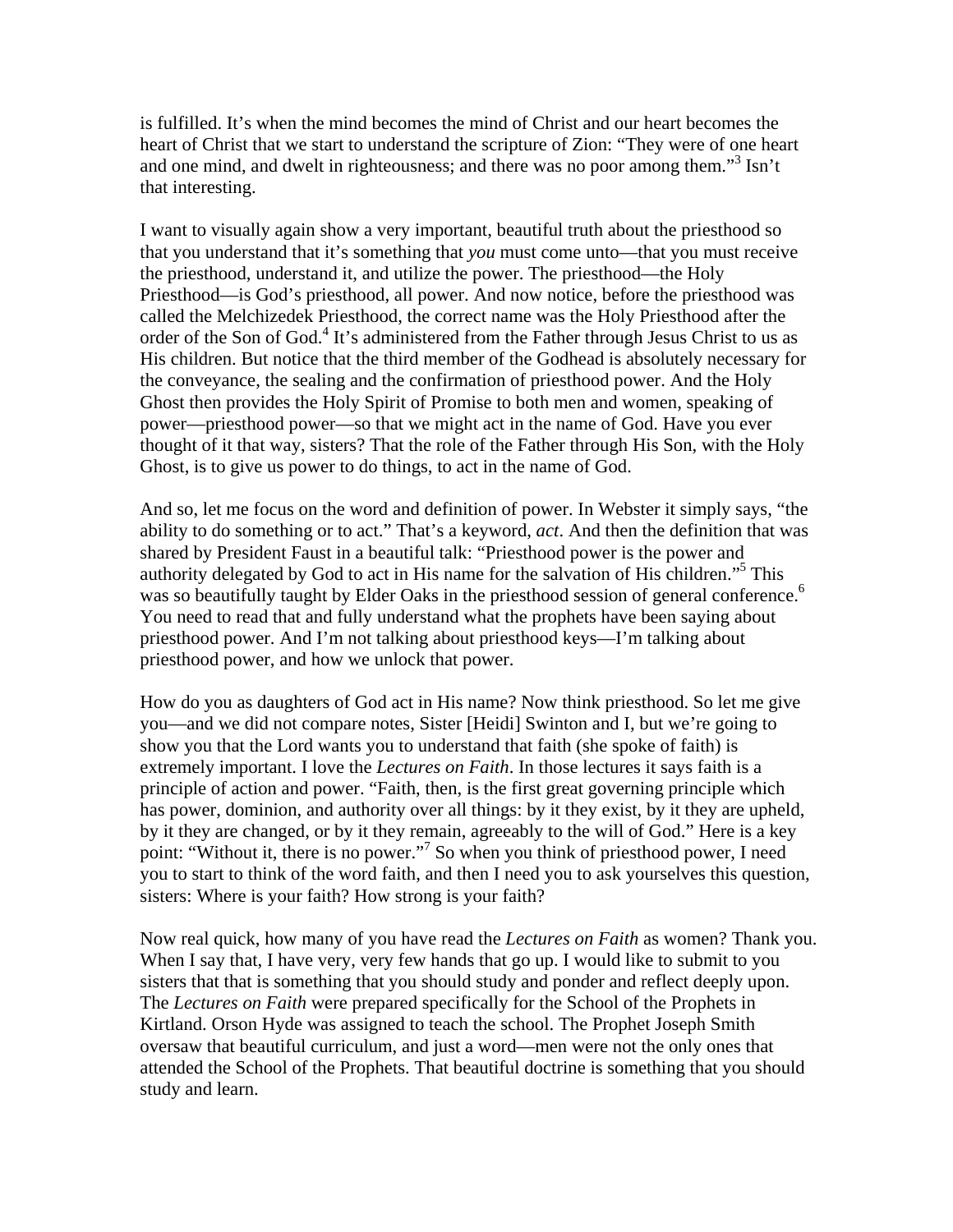is fulfilled. It's when the mind becomes the mind of Christ and our heart becomes the heart of Christ that we start to understand the scripture of Zion: "They were of one heart and one mind, and dwelt in righteousness; and there was no poor among them."<sup>3</sup> Isn't that interesting.

I want to visually again show a very important, beautiful truth about the priesthood so that you understand that it's something that *you* must come unto—that you must receive the priesthood, understand it, and utilize the power. The priesthood—the Holy Priesthood—is God's priesthood, all power. And now notice, before the priesthood was called the Melchizedek Priesthood, the correct name was the Holy Priesthood after the order of the Son of God.<sup>4</sup> It's administered from the Father through Jesus Christ to us as His children. But notice that the third member of the Godhead is absolutely necessary for the conveyance, the sealing and the confirmation of priesthood power. And the Holy Ghost then provides the Holy Spirit of Promise to both men and women, speaking of power—priesthood power—so that we might act in the name of God. Have you ever thought of it that way, sisters? That the role of the Father through His Son, with the Holy Ghost, is to give us power to do things, to act in the name of God.

And so, let me focus on the word and definition of power. In Webster it simply says, "the ability to do something or to act." That's a keyword, *act*. And then the definition that was shared by President Faust in a beautiful talk: "Priesthood power is the power and authority delegated by God to act in His name for the salvation of His children."5 This was so beautifully taught by Elder Oaks in the priesthood session of general conference.<sup>6</sup> You need to read that and fully understand what the prophets have been saying about priesthood power. And I'm not talking about priesthood keys—I'm talking about priesthood power, and how we unlock that power.

How do you as daughters of God act in His name? Now think priesthood. So let me give you—and we did not compare notes, Sister [Heidi] Swinton and I, but we're going to show you that the Lord wants you to understand that faith (she spoke of faith) is extremely important. I love the *Lectures on Faith*. In those lectures it says faith is a principle of action and power. "Faith, then, is the first great governing principle which has power, dominion, and authority over all things: by it they exist, by it they are upheld, by it they are changed, or by it they remain, agreeably to the will of God." Here is a key point: "Without it, there is no power."<sup>7</sup> So when you think of priesthood power, I need you to start to think of the word faith, and then I need you to ask yourselves this question, sisters: Where is your faith? How strong is your faith?

Now real quick, how many of you have read the *Lectures on Faith* as women? Thank you. When I say that, I have very, very few hands that go up. I would like to submit to you sisters that that is something that you should study and ponder and reflect deeply upon. The *Lectures on Faith* were prepared specifically for the School of the Prophets in Kirtland. Orson Hyde was assigned to teach the school. The Prophet Joseph Smith oversaw that beautiful curriculum, and just a word—men were not the only ones that attended the School of the Prophets. That beautiful doctrine is something that you should study and learn.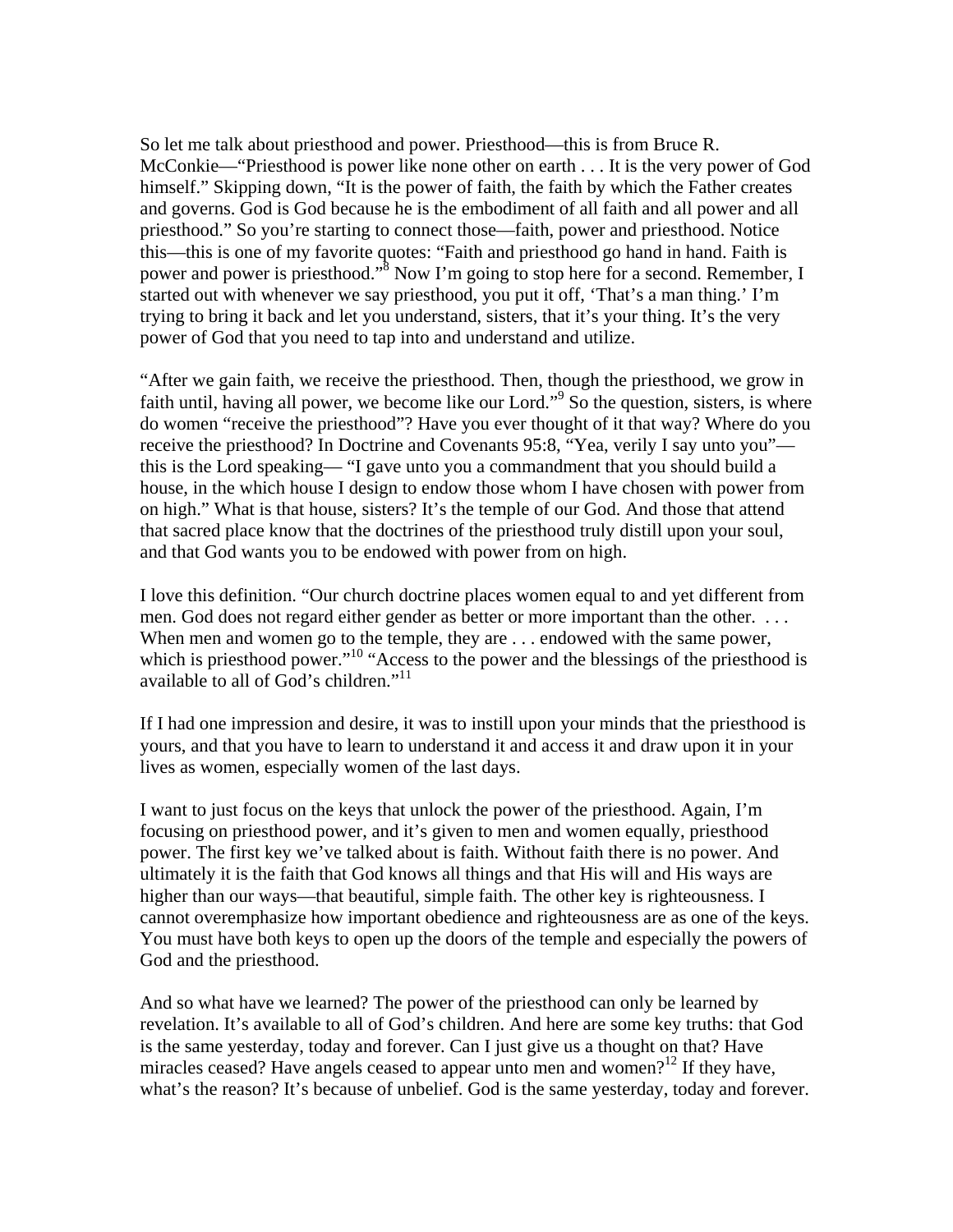So let me talk about priesthood and power. Priesthood—this is from Bruce R. McConkie—"Priesthood is power like none other on earth . . . It is the very power of God himself." Skipping down, "It is the power of faith, the faith by which the Father creates and governs. God is God because he is the embodiment of all faith and all power and all priesthood." So you're starting to connect those—faith, power and priesthood. Notice this—this is one of my favorite quotes: "Faith and priesthood go hand in hand. Faith is power and power is priesthood."<sup>8</sup> Now I'm going to stop here for a second. Remember, I started out with whenever we say priesthood, you put it off, 'That's a man thing.' I'm trying to bring it back and let you understand, sisters, that it's your thing. It's the very power of God that you need to tap into and understand and utilize.

"After we gain faith, we receive the priesthood. Then, though the priesthood, we grow in faith until, having all power, we become like our Lord."<sup>9</sup> So the question, sisters, is where do women "receive the priesthood"? Have you ever thought of it that way? Where do you receive the priesthood? In Doctrine and Covenants 95:8, "Yea, verily I say unto you" this is the Lord speaking— "I gave unto you a commandment that you should build a house, in the which house I design to endow those whom I have chosen with power from on high." What is that house, sisters? It's the temple of our God. And those that attend that sacred place know that the doctrines of the priesthood truly distill upon your soul, and that God wants you to be endowed with power from on high.

I love this definition. "Our church doctrine places women equal to and yet different from men. God does not regard either gender as better or more important than the other. . . . When men and women go to the temple, they are ... endowed with the same power, which is priesthood power."<sup>10</sup> "Access to the power and the blessings of the priesthood is available to all of God's children."<sup>11</sup>

If I had one impression and desire, it was to instill upon your minds that the priesthood is yours, and that you have to learn to understand it and access it and draw upon it in your lives as women, especially women of the last days.

I want to just focus on the keys that unlock the power of the priesthood. Again, I'm focusing on priesthood power, and it's given to men and women equally, priesthood power. The first key we've talked about is faith. Without faith there is no power. And ultimately it is the faith that God knows all things and that His will and His ways are higher than our ways—that beautiful, simple faith. The other key is righteousness. I cannot overemphasize how important obedience and righteousness are as one of the keys. You must have both keys to open up the doors of the temple and especially the powers of God and the priesthood.

And so what have we learned? The power of the priesthood can only be learned by revelation. It's available to all of God's children. And here are some key truths: that God is the same yesterday, today and forever. Can I just give us a thought on that? Have miracles ceased? Have angels ceased to appear unto men and women?<sup>12</sup> If they have, what's the reason? It's because of unbelief. God is the same yesterday, today and forever.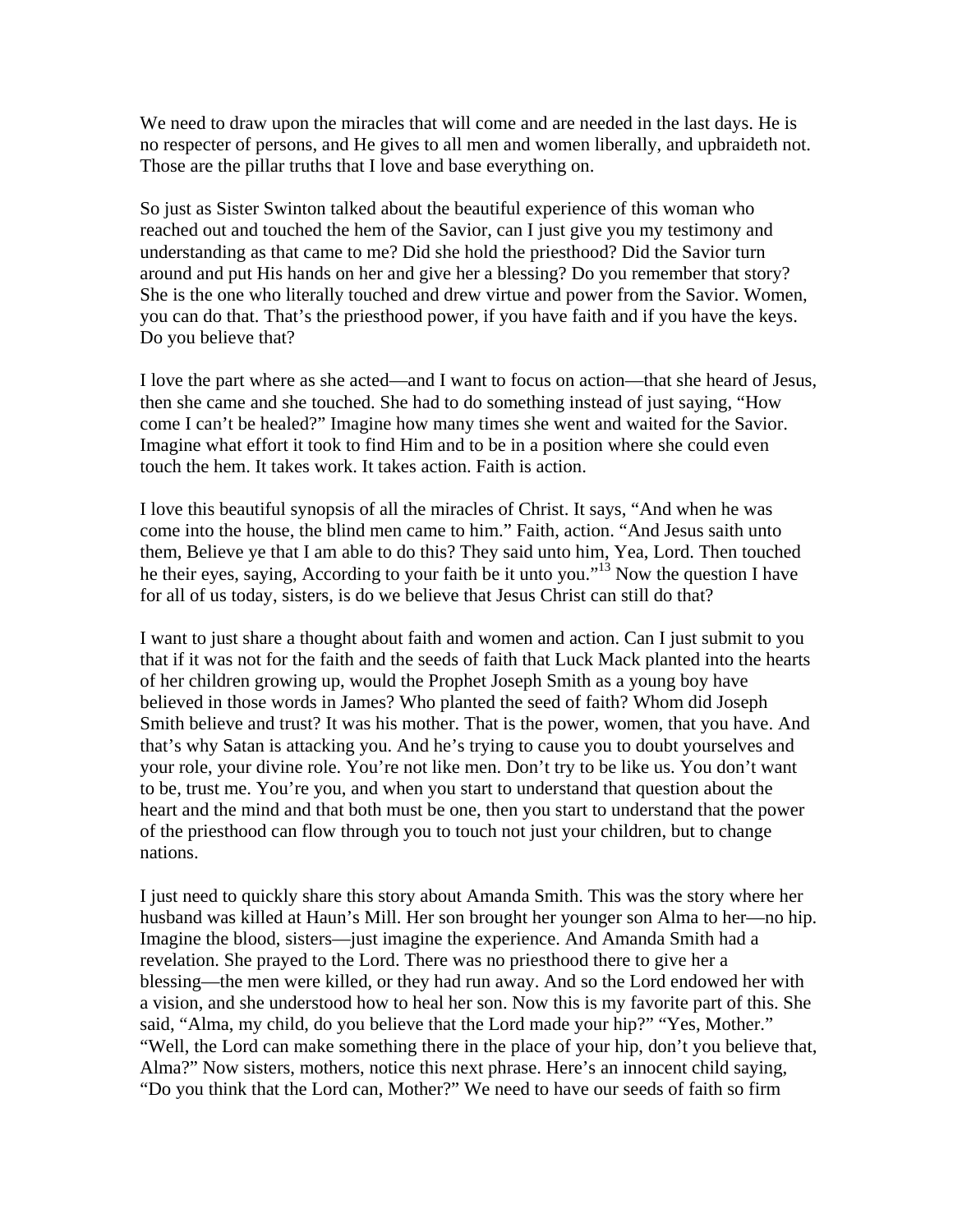We need to draw upon the miracles that will come and are needed in the last days. He is no respecter of persons, and He gives to all men and women liberally, and upbraideth not. Those are the pillar truths that I love and base everything on.

So just as Sister Swinton talked about the beautiful experience of this woman who reached out and touched the hem of the Savior, can I just give you my testimony and understanding as that came to me? Did she hold the priesthood? Did the Savior turn around and put His hands on her and give her a blessing? Do you remember that story? She is the one who literally touched and drew virtue and power from the Savior. Women, you can do that. That's the priesthood power, if you have faith and if you have the keys. Do you believe that?

I love the part where as she acted—and I want to focus on action—that she heard of Jesus, then she came and she touched. She had to do something instead of just saying, "How come I can't be healed?" Imagine how many times she went and waited for the Savior. Imagine what effort it took to find Him and to be in a position where she could even touch the hem. It takes work. It takes action. Faith is action.

I love this beautiful synopsis of all the miracles of Christ. It says, "And when he was come into the house, the blind men came to him." Faith, action. "And Jesus saith unto them, Believe ye that I am able to do this? They said unto him, Yea, Lord. Then touched he their eyes, saying, According to your faith be it unto you."13 Now the question I have for all of us today, sisters, is do we believe that Jesus Christ can still do that?

I want to just share a thought about faith and women and action. Can I just submit to you that if it was not for the faith and the seeds of faith that Luck Mack planted into the hearts of her children growing up, would the Prophet Joseph Smith as a young boy have believed in those words in James? Who planted the seed of faith? Whom did Joseph Smith believe and trust? It was his mother. That is the power, women, that you have. And that's why Satan is attacking you. And he's trying to cause you to doubt yourselves and your role, your divine role. You're not like men. Don't try to be like us. You don't want to be, trust me. You're you, and when you start to understand that question about the heart and the mind and that both must be one, then you start to understand that the power of the priesthood can flow through you to touch not just your children, but to change nations.

I just need to quickly share this story about Amanda Smith. This was the story where her husband was killed at Haun's Mill. Her son brought her younger son Alma to her—no hip. Imagine the blood, sisters—just imagine the experience. And Amanda Smith had a revelation. She prayed to the Lord. There was no priesthood there to give her a blessing—the men were killed, or they had run away. And so the Lord endowed her with a vision, and she understood how to heal her son. Now this is my favorite part of this. She said, "Alma, my child, do you believe that the Lord made your hip?" "Yes, Mother." "Well, the Lord can make something there in the place of your hip, don't you believe that, Alma?" Now sisters, mothers, notice this next phrase. Here's an innocent child saying, "Do you think that the Lord can, Mother?" We need to have our seeds of faith so firm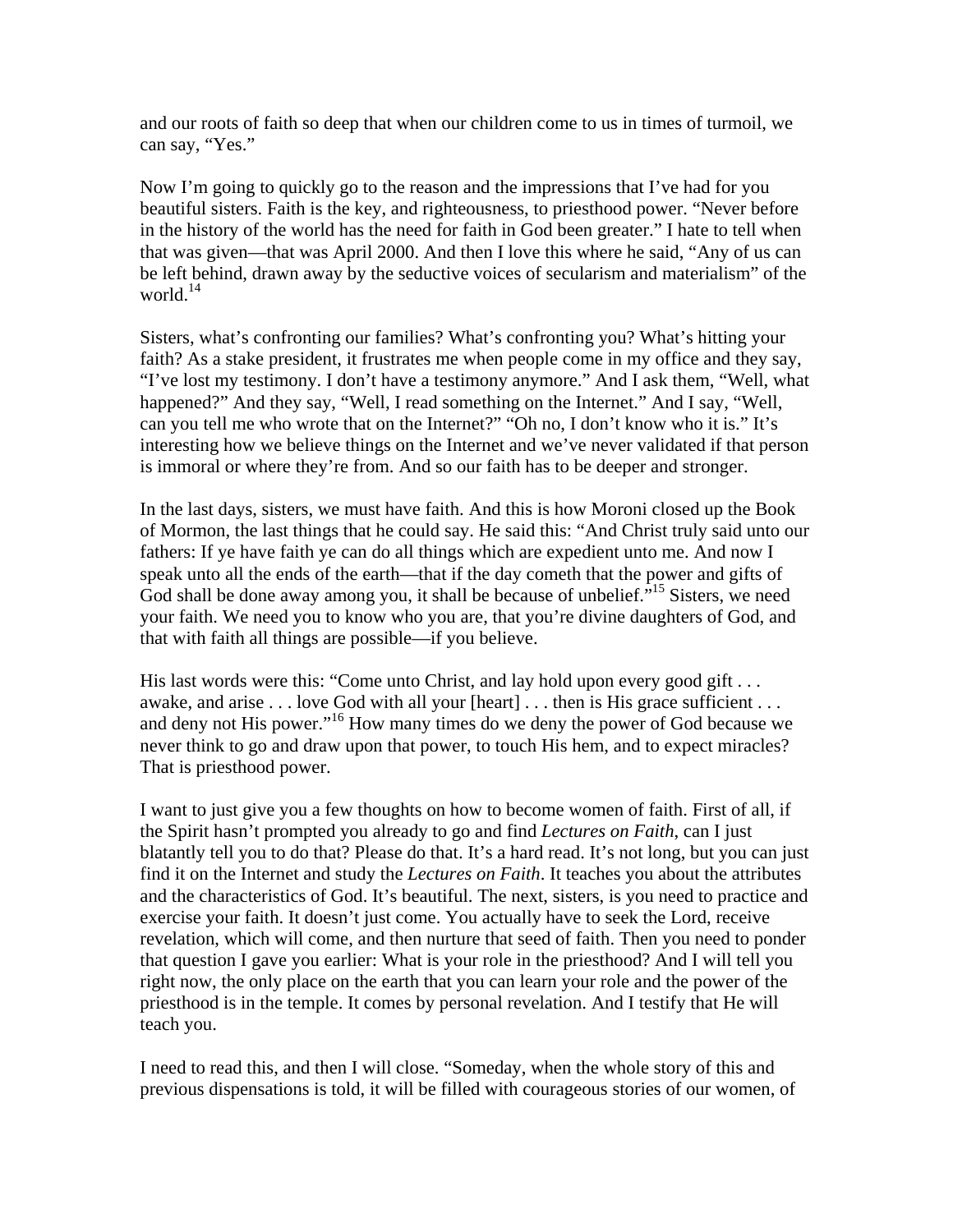and our roots of faith so deep that when our children come to us in times of turmoil, we can say, "Yes."

Now I'm going to quickly go to the reason and the impressions that I've had for you beautiful sisters. Faith is the key, and righteousness, to priesthood power. "Never before in the history of the world has the need for faith in God been greater." I hate to tell when that was given—that was April 2000. And then I love this where he said, "Any of us can be left behind, drawn away by the seductive voices of secularism and materialism" of the world. $^{14}$ 

Sisters, what's confronting our families? What's confronting you? What's hitting your faith? As a stake president, it frustrates me when people come in my office and they say, "I've lost my testimony. I don't have a testimony anymore." And I ask them, "Well, what happened?" And they say, "Well, I read something on the Internet." And I say, "Well, can you tell me who wrote that on the Internet?" "Oh no, I don't know who it is." It's interesting how we believe things on the Internet and we've never validated if that person is immoral or where they're from. And so our faith has to be deeper and stronger.

In the last days, sisters, we must have faith. And this is how Moroni closed up the Book of Mormon, the last things that he could say. He said this: "And Christ truly said unto our fathers: If ye have faith ye can do all things which are expedient unto me. And now I speak unto all the ends of the earth—that if the day cometh that the power and gifts of God shall be done away among you, it shall be because of unbelief.<sup>"15</sup> Sisters, we need your faith. We need you to know who you are, that you're divine daughters of God, and that with faith all things are possible—if you believe.

His last words were this: "Come unto Christ, and lay hold upon every good gift . . . awake, and arise . . . love God with all your [heart] . . . then is His grace sufficient . . . and deny not His power."16 How many times do we deny the power of God because we never think to go and draw upon that power, to touch His hem, and to expect miracles? That is priesthood power.

I want to just give you a few thoughts on how to become women of faith. First of all, if the Spirit hasn't prompted you already to go and find *Lectures on Faith*, can I just blatantly tell you to do that? Please do that. It's a hard read. It's not long, but you can just find it on the Internet and study the *Lectures on Faith*. It teaches you about the attributes and the characteristics of God. It's beautiful. The next, sisters, is you need to practice and exercise your faith. It doesn't just come. You actually have to seek the Lord, receive revelation, which will come, and then nurture that seed of faith. Then you need to ponder that question I gave you earlier: What is your role in the priesthood? And I will tell you right now, the only place on the earth that you can learn your role and the power of the priesthood is in the temple. It comes by personal revelation. And I testify that He will teach you.

I need to read this, and then I will close. "Someday, when the whole story of this and previous dispensations is told, it will be filled with courageous stories of our women, of